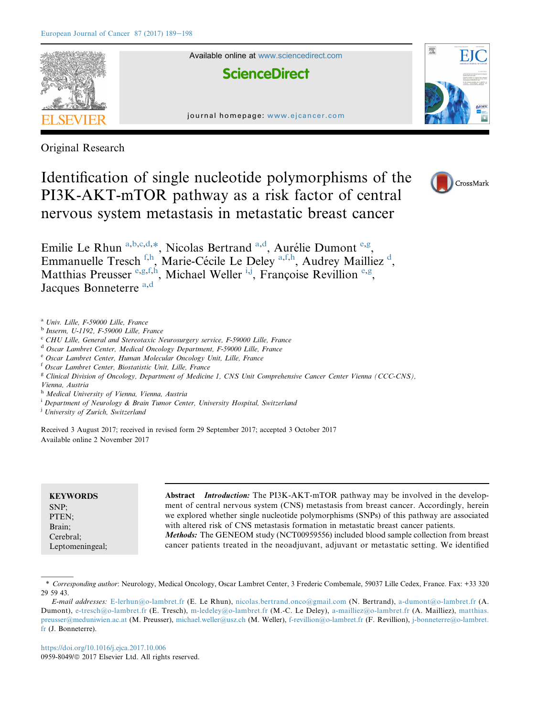

Original Research

Identification of single nucleotide polymorphisms of the PI3K-AKT-mTOR pathway as a risk factor of central nervous system metastasis in metastatic breast cancer



Emilie Le Rhun a,b,c,d,\*, Nicolas Bertrand a,d, Aurélie Dumont e,g, Emmanuelle Tresch<sup>f,h</sup>, Marie-Cécile Le Deley<sup>a,f,h</sup>, Audrey Mailliez<sup>d</sup>, Matthias Preusser e,g,f,h, Michael Weller  $^{i,j}$ , Françoise Revillion e,g, Jacques Bonneterre a,d

<sup>a</sup> Univ. Lille, F-59000 Lille, France

<sup>b</sup> Inserm, U-1192, F-59000 Lille, France

<sup>c</sup> CHU Lille, General and Stereotaxic Neurosurgery service, F-59000 Lille, France

<sup>d</sup> Oscar Lambret Center, Medical Oncology Department, F-59000 Lille, France

<sup>e</sup> Oscar Lambret Center, Human Molecular Oncology Unit, Lille, France

<sup>f</sup> Oscar Lambret Center, Biostatistic Unit, Lille, France

<sup>g</sup> Clinical Division of Oncology, Department of Medicine 1, CNS Unit Comprehensive Cancer Center Vienna (CCC-CNS),

Vienna, Austria

h Medical University of Vienna, Vienna, Austria

<sup>i</sup> Department of Neurology & Brain Tumor Center, University Hospital, Switzerland

<sup>j</sup> University of Zurich, Switzerland

Received 3 August 2017; received in revised form 29 September 2017; accepted 3 October 2017 Available online 2 November 2017

| <b>KEYWORDS</b> | <b>Abstract</b> <i>Introduction:</i> The PI3K-AKT-mTOR pathway may be involved in the develop- |
|-----------------|------------------------------------------------------------------------------------------------|
| SNP:            | ment of central nervous system (CNS) metastasis from breast cancer. Accordingly, herein        |
| PTEN:           | we explored whether single nucleotide polymorphisms (SNPs) of this pathway are associated      |
| Brain:          | with altered risk of CNS metastasis formation in metastatic breast cancer patients.            |
| Cerebral:       | <i>Methods:</i> The GENEOM study (NCT00959556) included blood sample collection from breast    |
| Leptomeningeal; | cancer patients treated in the neoadjuvant, adjuvant or metastatic setting. We identified      |

<sup>\*</sup> Corresponding author: Neurology, Medical Oncology, Oscar Lambret Center, 3 Frederic Combemale, 59037 Lille Cedex, France. Fax: +33 320 29 59 43.

E-mail addresses: [E-lerhun@o-lambret.fr](mailto:E-lerhun@o-lambret.fr) (E. Le Rhun), [nicolas.bertrand.onco@gmail.com](mailto:nicolas.bertrand.onco@gmail.com) (N. Bertrand), [a-dumont@o-lambret.fr](mailto:a-dumont@o-lambret.fr) (A. Dumont), [e-tresch@o-lambret.fr](mailto:e-tresch@o-lambret.fr) (E. Tresch), [m-ledeley@o-lambret.fr](mailto:m-ledeley@o-lambret.fr) (M.-C. Le Deley), [a-mailliez@o-lambret.fr](mailto:a-mailliez@o-lambret.fr) (A. Mailliez), [matthias.](mailto:matthias.preusser@meduniwien.ac.at) [preusser@meduniwien.ac.at](mailto:matthias.preusser@meduniwien.ac.at) (M. Preusser), [michael.weller@usz.ch](mailto:michael.weller@usz.ch) (M. Weller), [f-revillion@o-lambret.fr](mailto:f-revillion@o-lambret.fr) (F. Revillion), [j-bonneterre@o-lambret.](mailto:j-bonneterre@o-lambret.fr) [fr](mailto:j-bonneterre@o-lambret.fr) (J. Bonneterre).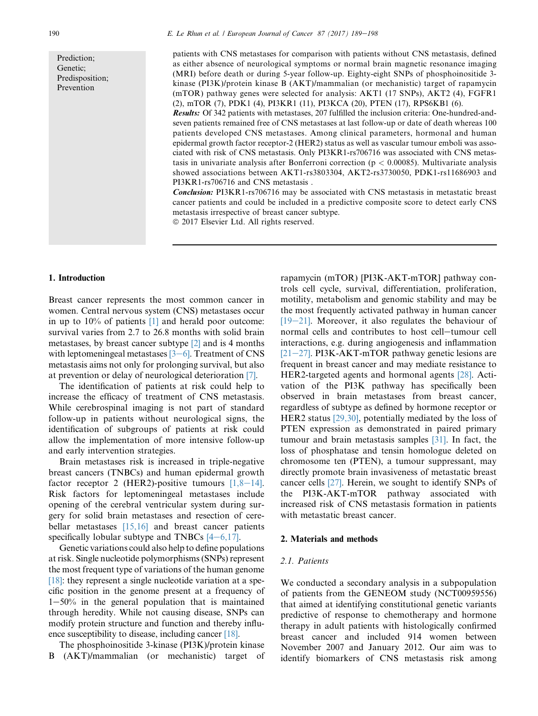Prediction; Genetic; Predisposition; Prevention

patients with CNS metastases for comparison with patients without CNS metastasis, defined as either absence of neurological symptoms or normal brain magnetic resonance imaging (MRI) before death or during 5-year follow-up. Eighty-eight SNPs of phosphoinositide 3 kinase (PI3K)/protein kinase B (AKT)/mammalian (or mechanistic) target of rapamycin (mTOR) pathway genes were selected for analysis: AKT1 (17 SNPs), AKT2 (4), FGFR1 (2), mTOR (7), PDK1 (4), PI3KR1 (11), PI3KCA (20), PTEN (17), RPS6KB1 (6).

Results: Of 342 patients with metastases, 207 fulfilled the inclusion criteria: One-hundred-andseven patients remained free of CNS metastases at last follow-up or date of death whereas 100 patients developed CNS metastases. Among clinical parameters, hormonal and human epidermal growth factor receptor-2 (HER2) status as well as vascular tumour emboli was associated with risk of CNS metastasis. Only PI3KR1-rs706716 was associated with CNS metastasis in univariate analysis after Bonferroni correction ( $p < 0.00085$ ). Multivariate analysis showed associations between AKT1-rs3803304, AKT2-rs3730050, PDK1-rs11686903 and PI3KR1-rs706716 and CNS metastasis .

Conclusion: PI3KR1-rs706716 may be associated with CNS metastasis in metastatic breast cancer patients and could be included in a predictive composite score to detect early CNS metastasis irrespective of breast cancer subtype.

 $© 2017 Elsevier Ltd. All rights reserved.$ 

#### 1. Introduction

Breast cancer represents the most common cancer in women. Central nervous system (CNS) metastases occur in up to 10% of patients [\[1\]](#page-8-0) and herald poor outcome: survival varies from 2.7 to 26.8 months with solid brain metastases, by breast cancer subtype [\[2\]](#page-8-0) and is 4 months with leptomeningeal metastases  $[3-6]$  $[3-6]$ . Treatment of CNS metastasis aims not only for prolonging survival, but also at prevention or delay of neurological deterioration [\[7\]](#page-8-0).

The identification of patients at risk could help to increase the efficacy of treatment of CNS metastasis. While cerebrospinal imaging is not part of standard follow-up in patients without neurological signs, the identification of subgroups of patients at risk could allow the implementation of more intensive follow-up and early intervention strategies.

Brain metastases risk is increased in triple-negative breast cancers (TNBCs) and human epidermal growth factor receptor 2 (HER2)-positive tumours  $[1,8-14]$  $[1,8-14]$  $[1,8-14]$ . Risk factors for leptomeningeal metastases include opening of the cerebral ventricular system during surgery for solid brain metastases and resection of cerebellar metastases  $[15,16]$  and breast cancer patients specifically lobular subtype and TNBCs  $[4-6,17]$  $[4-6,17]$  $[4-6,17]$ .

Genetic variations could also help to define populations at risk. Single nucleotide polymorphisms (SNPs) represent the most frequent type of variations of the human genome  $[18]$ : they represent a single nucleotide variation at a specific position in the genome present at a frequency of  $1-50%$  in the general population that is maintained through heredity. While not causing disease, SNPs can modify protein structure and function and thereby influence susceptibility to disease, including cancer [\[18\]](#page-8-0).

The phosphoinositide 3-kinase (PI3K)/protein kinase B (AKT)/mammalian (or mechanistic) target of rapamycin (mTOR) [PI3K-AKT-mTOR] pathway controls cell cycle, survival, differentiation, proliferation, motility, metabolism and genomic stability and may be the most frequently activated pathway in human cancer  $[19-21]$  $[19-21]$ . Moreover, it also regulates the behaviour of normal cells and contributes to host cell-tumour cell interactions, e.g. during angiogenesis and inflammation  $[21-27]$  $[21-27]$ . PI3K-AKT-mTOR pathway genetic lesions are frequent in breast cancer and may mediate resistance to HER2-targeted agents and hormonal agents [\[28\]](#page-9-0). Activation of the PI3K pathway has specifically been observed in brain metastases from breast cancer, regardless of subtype as defined by hormone receptor or HER2 status [\[29,30\]](#page-9-0), potentially mediated by the loss of PTEN expression as demonstrated in paired primary tumour and brain metastasis samples [\[31\].](#page-9-0) In fact, the loss of phosphatase and tensin homologue deleted on chromosome ten (PTEN), a tumour suppressant, may directly promote brain invasiveness of metastatic breast cancer cells [\[27\]](#page-9-0). Herein, we sought to identify SNPs of the PI3K-AKT-mTOR pathway associated with increased risk of CNS metastasis formation in patients with metastatic breast cancer.

#### 2. Materials and methods

#### 2.1. Patients

We conducted a secondary analysis in a subpopulation of patients from the GENEOM study (NCT00959556) that aimed at identifying constitutional genetic variants predictive of response to chemotherapy and hormone therapy in adult patients with histologically confirmed breast cancer and included 914 women between November 2007 and January 2012. Our aim was to identify biomarkers of CNS metastasis risk among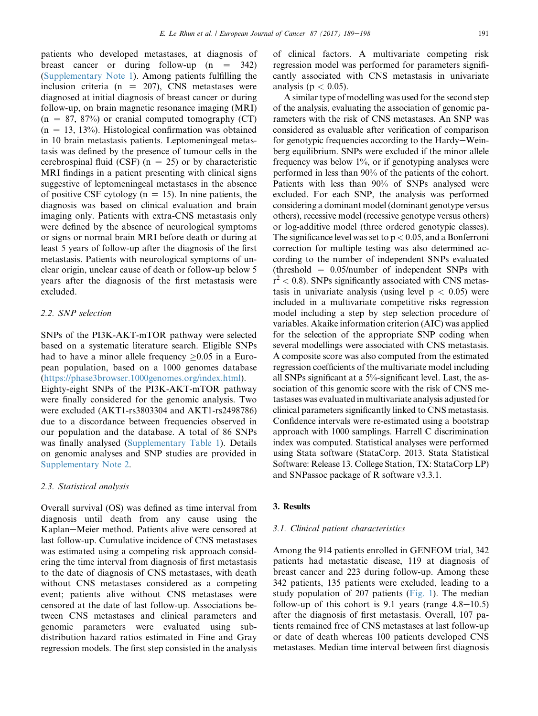patients who developed metastases, at diagnosis of breast cancer or during follow-up  $(n = 342)$ (Supplementary Note 1). Among patients fulfilling the inclusion criteria ( $n = 207$ ), CNS metastases were diagnosed at initial diagnosis of breast cancer or during follow-up, on brain magnetic resonance imaging (MRI)  $(n = 87, 87%)$  or cranial computed tomography (CT)  $(n = 13, 13%)$ . Histological confirmation was obtained in 10 brain metastasis patients. Leptomeningeal metastasis was defined by the presence of tumour cells in the cerebrospinal fluid (CSF) ( $n = 25$ ) or by characteristic MRI findings in a patient presenting with clinical signs suggestive of leptomeningeal metastases in the absence of positive CSF cytology ( $n = 15$ ). In nine patients, the diagnosis was based on clinical evaluation and brain imaging only. Patients with extra-CNS metastasis only were defined by the absence of neurological symptoms or signs or normal brain MRI before death or during at least 5 years of follow-up after the diagnosis of the first metastasis. Patients with neurological symptoms of unclear origin, unclear cause of death or follow-up below 5 years after the diagnosis of the first metastasis were excluded.

## 2.2. SNP selection

SNPs of the PI3K-AKT-mTOR pathway were selected based on a systematic literature search. Eligible SNPs had to have a minor allele frequency  $\geq 0.05$  in a European population, based on a 1000 genomes database ([https://phase3browser.1000genomes.org/index.html\)](https://phase3browser.1000genomes.org/index.html). Eighty-eight SNPs of the PI3K-AKT-mTOR pathway were finally considered for the genomic analysis. Two were excluded (AKT1-rs3803304 and AKT1-rs2498786) due to a discordance between frequencies observed in our population and the database. A total of 86 SNPs was finally analysed (Supplementary Table 1). Details on genomic analyses and SNP studies are provided in Supplementary Note 2.

## 2.3. Statistical analysis

Overall survival (OS) was defined as time interval from diagnosis until death from any cause using the Kaplan–Meier method. Patients alive were censored at last follow-up. Cumulative incidence of CNS metastases was estimated using a competing risk approach considering the time interval from diagnosis of first metastasis to the date of diagnosis of CNS metastases, with death without CNS metastases considered as a competing event; patients alive without CNS metastases were censored at the date of last follow-up. Associations between CNS metastases and clinical parameters and genomic parameters were evaluated using subdistribution hazard ratios estimated in Fine and Gray regression models. The first step consisted in the analysis of clinical factors. A multivariate competing risk regression model was performed for parameters significantly associated with CNS metastasis in univariate analysis ( $p < 0.05$ ).

A similar type of modelling was used for the second step of the analysis, evaluating the association of genomic parameters with the risk of CNS metastases. An SNP was considered as evaluable after verification of comparison for genotypic frequencies according to the Hardy-Weinberg equilibrium. SNPs were excluded if the minor allele frequency was below  $1\%$ , or if genotyping analyses were performed in less than 90% of the patients of the cohort. Patients with less than 90% of SNPs analysed were excluded. For each SNP, the analysis was performed considering a dominant model (dominant genotype versus others), recessive model (recessive genotype versus others) or log-additive model (three ordered genotypic classes). The significance level was set to  $p < 0.05$ , and a Bonferroni correction for multiple testing was also determined according to the number of independent SNPs evaluated (threshold  $= 0.05/number$  of independent SNPs with  $r^2$  < 0.8). SNPs significantly associated with CNS metastasis in univariate analysis (using level  $p < 0.05$ ) were included in a multivariate competitive risks regression model including a step by step selection procedure of variables. Akaike information criterion (AIC) was applied for the selection of the appropriate SNP coding when several modellings were associated with CNS metastasis. A composite score was also computed from the estimated regression coefficients of the multivariate model including all SNPs significant at a 5%-significant level. Last, the association of this genomic score with the risk of CNS metastases was evaluated in multivariate analysis adjusted for clinical parameters significantly linked to CNS metastasis. Confidence intervals were re-estimated using a bootstrap approach with 1000 samplings. Harrell C discrimination index was computed. Statistical analyses were performed using Stata software (StataCorp. 2013. Stata Statistical Software: Release 13. College Station, TX: StataCorp LP) and SNPassoc package of R software v3.3.1.

## 3. Results

## 3.1. Clinical patient characteristics

Among the 914 patients enrolled in GENEOM trial, 342 patients had metastatic disease, 119 at diagnosis of breast cancer and 223 during follow-up. Among these 342 patients, 135 patients were excluded, leading to a study population of 207 patients [\(Fig. 1\)](#page-3-0). The median follow-up of this cohort is  $9.1$  years (range  $4.8-10.5$ ) after the diagnosis of first metastasis. Overall, 107 patients remained free of CNS metastases at last follow-up or date of death whereas 100 patients developed CNS metastases. Median time interval between first diagnosis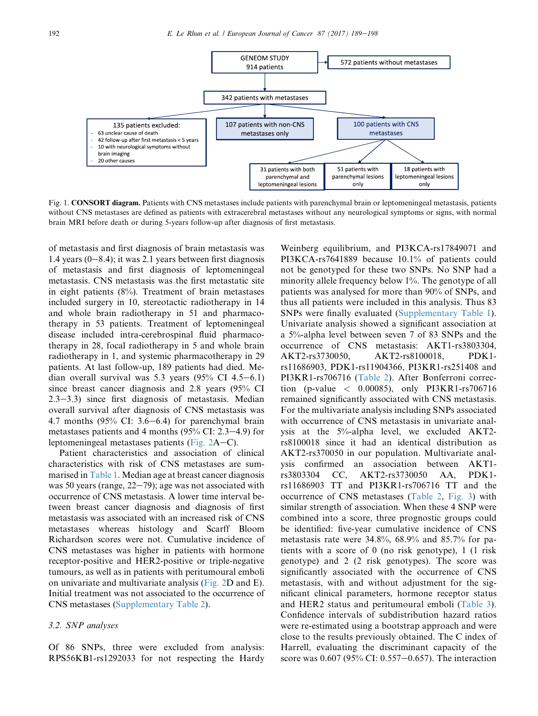<span id="page-3-0"></span>

Fig. 1. CONSORT diagram. Patients with CNS metastases include patients with parenchymal brain or leptomeningeal metastasis, patients without CNS metastases are defined as patients with extracerebral metastases without any neurological symptoms or signs, with normal brain MRI before death or during 5-years follow-up after diagnosis of first metastasis.

of metastasis and first diagnosis of brain metastasis was 1.4 years  $(0-8.4)$ ; it was 2.1 years between first diagnosis of metastasis and first diagnosis of leptomeningeal metastasis. CNS metastasis was the first metastatic site in eight patients (8%). Treatment of brain metastases included surgery in 10, stereotactic radiotherapy in 14 and whole brain radiotherapy in 51 and pharmacotherapy in 53 patients. Treatment of leptomeningeal disease included intra-cerebrospinal fluid pharmacotherapy in 28, focal radiotherapy in 5 and whole brain radiotherapy in 1, and systemic pharmacotherapy in 29 patients. At last follow-up, 189 patients had died. Median overall survival was  $5.3$  years  $(95\% \text{ CI } 4.5-6.1)$ since breast cancer diagnosis and 2.8 years (95% CI  $2.3-3.3$ ) since first diagnosis of metastasis. Median overall survival after diagnosis of CNS metastasis was 4.7 months  $(95\% \text{ CI: } 3.6-6.4)$  for parenchymal brain metastases patients and 4 months  $(95\% \text{ CI: } 2.3-4.9)$  for leptomeningeal metastases patients (Fig.  $2A-C$ ).

Patient characteristics and association of clinical characteristics with risk of CNS metastases are summarised in [Table 1](#page-5-0). Median age at breast cancer diagnosis was 50 years (range,  $22-79$ ); age was not associated with occurrence of CNS metastasis. A lower time interval between breast cancer diagnosis and diagnosis of first metastasis was associated with an increased risk of CNS metastases whereas histology and Scarff Bloom Richardson scores were not. Cumulative incidence of CNS metastases was higher in patients with hormone receptor-positive and HER2-positive or triple-negative tumours, as well as in patients with peritumoural emboli on univariate and multivariate analysis ([Fig. 2D](#page-4-0) and E). Initial treatment was not associated to the occurrence of CNS metastases (Supplementary Table 2).

#### 3.2. SNP analyses

Of 86 SNPs, three were excluded from analysis: RPS56KB1-rs1292033 for not respecting the Hardy

Weinberg equilibrium, and PI3KCA-rs17849071 and PI3KCA-rs7641889 because 10.1% of patients could not be genotyped for these two SNPs. No SNP had a minority allele frequency below 1%. The genotype of all patients was analysed for more than 90% of SNPs, and thus all patients were included in this analysis. Thus 83 SNPs were finally evaluated (Supplementary Table 1). Univariate analysis showed a significant association at a 5%-alpha level between seven 7 of 83 SNPs and the occurrence of CNS metastasis: AKT1-rs3803304, AKT2-rs3730050, AKT2-rs8100018, PDK1 rs11686903, PDK1-rs11904366, PI3KR1-rs251408 and PI3KR1-rs706716 [\(Table 2](#page-6-0)). After Bonferroni correction (p-value  $\langle 0.00085 \rangle$ , only PI3KR1-rs706716 remained significantly associated with CNS metastasis. For the multivariate analysis including SNPs associated with occurrence of CNS metastasis in univariate analysis at the 5%-alpha level, we excluded AKT2 rs8100018 since it had an identical distribution as AKT2-rs370050 in our population. Multivariate analysis confirmed an association between AKT1 rs3803304 CC, AKT2-rs3730050 AA, PDK1 rs11686903 TT and PI3KR1-rs706716 TT and the occurrence of CNS metastases ([Table 2](#page-6-0), [Fig. 3](#page-7-0)) with similar strength of association. When these 4 SNP were combined into a score, three prognostic groups could be identified: five-year cumulative incidence of CNS metastasis rate were 34.8%, 68.9% and 85.7% for patients with a score of 0 (no risk genotype), 1 (1 risk genotype) and 2 (2 risk genotypes). The score was significantly associated with the occurrence of CNS metastasis, with and without adjustment for the significant clinical parameters, hormone receptor status and HER2 status and peritumoural emboli [\(Table 3\)](#page-7-0). Confidence intervals of subdistribution hazard ratios were re-estimated using a bootstrap approach and were close to the results previously obtained. The C index of Harrell, evaluating the discriminant capacity of the score was  $0.607$  (95% CI:  $0.557-0.657$ ). The interaction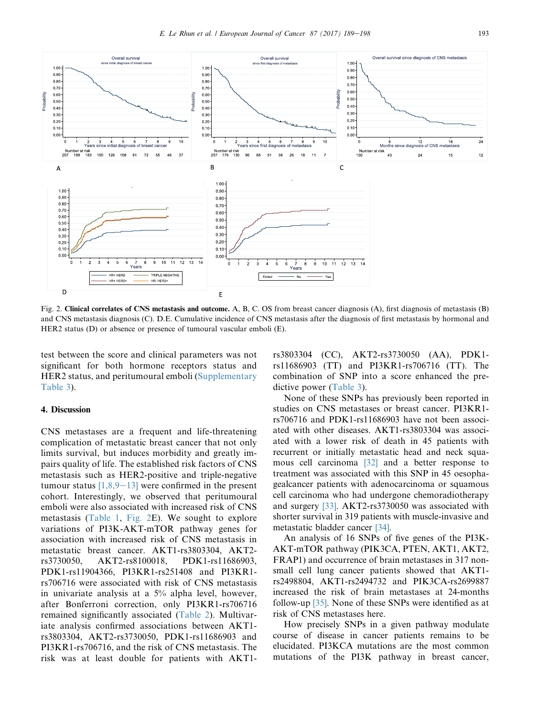<span id="page-4-0"></span>

Fig. 2. Clinical correlates of CNS metastasis and outcome. A, B, C. OS from breast cancer diagnosis (A), first diagnosis of metastasis (B) and CNS metastasis diagnosis (C). D.E. Cumulative incidence of CNS metastasis after the diagnosis of first metastasis by hormonal and HER2 status (D) or absence or presence of tumoural vascular emboli (E).

test between the score and clinical parameters was not significant for both hormone receptors status and HER2 status, and peritumoural emboli (Supplementary Table 3).

#### 4. Discussion

CNS metastases are a frequent and life-threatening complication of metastatic breast cancer that not only limits survival, but induces morbidity and greatly impairs quality of life. The established risk factors of CNS metastasis such as HER2-positive and triple-negative tumour status  $[1,8,9-13]$  $[1,8,9-13]$  $[1,8,9-13]$  were confirmed in the present cohort. Interestingly, we observed that peritumoural emboli were also associated with increased risk of CNS metastasis ([Table 1,](#page-5-0) Fig. 2E). We sought to explore variations of PI3K-AKT-mTOR pathway genes for association with increased risk of CNS metastasis in metastatic breast cancer. AKT1-rs3803304, AKT2 rs3730050, AKT2-rs8100018, PDK1-rs11686903, PDK1-rs11904366, PI3KR1-rs251408 and PI3KR1 rs706716 were associated with risk of CNS metastasis in univariate analysis at a 5% alpha level, however, after Bonferroni correction, only PI3KR1-rs706716 remained significantly associated ([Table 2](#page-6-0)). Multivariate analysis confirmed associations between AKT1 rs3803304, AKT2-rs3730050, PDK1-rs11686903 and PI3KR1-rs706716, and the risk of CNS metastasis. The risk was at least double for patients with AKT1rs3803304 (CC), AKT2-rs3730050 (AA), PDK1 rs11686903 (TT) and PI3KR1-rs706716 (TT). The combination of SNP into a score enhanced the predictive power ([Table 3\)](#page-7-0).

None of these SNPs has previously been reported in studies on CNS metastases or breast cancer. PI3KR1 rs706716 and PDK1-rs11686903 have not been associated with other diseases. AKT1-rs3803304 was associated with a lower risk of death in 45 patients with recurrent or initially metastatic head and neck squamous cell carcinoma [\[32\]](#page-9-0) and a better response to treatment was associated with this SNP in 45 oesophagealcancer patients with adenocarcinoma or squamous cell carcinoma who had undergone chemoradiotherapy and surgery [\[33\]](#page-9-0). AKT2-rs3730050 was associated with shorter survival in 319 patients with muscle-invasive and metastatic bladder cancer [\[34\]](#page-9-0).

An analysis of 16 SNPs of five genes of the PI3K-AKT-mTOR pathway (PIK3CA, PTEN, AKT1, AKT2, FRAP1) and occurrence of brain metastases in 317 nonsmall cell lung cancer patients showed that AKT1 rs2498804, AKT1-rs2494732 and PIK3CA-rs2699887 increased the risk of brain metastases at 24-months follow-up [\[35\].](#page-9-0) None of these SNPs were identified as at risk of CNS metastases here.

How precisely SNPs in a given pathway modulate course of disease in cancer patients remains to be elucidated. PI3KCA mutations are the most common mutations of the PI3K pathway in breast cancer,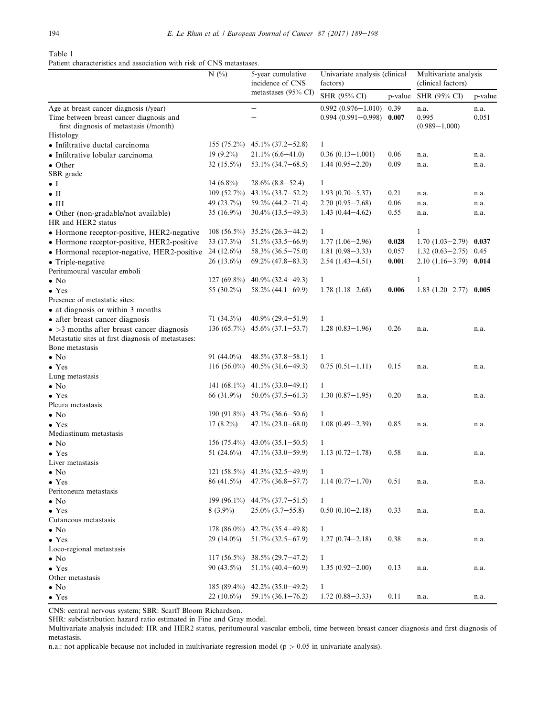# <span id="page-5-0"></span>Table 1

Patient characteristics and association with risk of CNS metastases.

|                                                                                                                                           | $N$ (%)        | 5-year cumulative<br>incidence of CNS | Univariate analysis (clinical<br>factors)        | Multivariate analysis<br>(clinical factors) |                                    |               |
|-------------------------------------------------------------------------------------------------------------------------------------------|----------------|---------------------------------------|--------------------------------------------------|---------------------------------------------|------------------------------------|---------------|
|                                                                                                                                           |                | metastases (95% CI)                   | SHR (95% CI)                                     | p-value                                     | SHR (95% CI)                       | p-value       |
| Age at breast cancer diagnosis (/year)<br>Time between breast cancer diagnosis and<br>first diagnosis of metastasis (/month)<br>Histology |                | $\qquad \qquad -$                     | $0.992(0.976 - 1.010)$<br>$0.994(0.991 - 0.998)$ | 0.39<br>0.007                               | n.a.<br>0.995<br>$(0.989 - 1.000)$ | n.a.<br>0.051 |
| • Infiltrative ductal carcinoma                                                                                                           | $155(75.2\%)$  | $45.1\% (37.2 - 52.8)$                | $\mathbf{1}$                                     |                                             |                                    |               |
| • Infiltrative lobular carcinoma                                                                                                          | 19 $(9.2\%)$   | $21.1\% (6.6 - 41.0)$                 | $0.36(0.13 - 1.001)$                             | 0.06                                        | n.a.                               | n.a.          |
| $\bullet$ Other                                                                                                                           | 32 $(15.5\%)$  | $53.1\%$ $(34.7-68.5)$                | $1.44(0.95 - 2.20)$                              | 0.09                                        | n.a.                               | n.a.          |
| SBR grade                                                                                                                                 |                |                                       |                                                  |                                             |                                    |               |
| $\bullet$ I                                                                                                                               | 14 $(6.8\%)$   | $28.6\%$ $(8.8-52.4)$                 | $\mathbf{1}$                                     |                                             |                                    |               |
| $\bullet$ II                                                                                                                              | 109 (52.7%)    | 43.1% (33.7-52.2)                     | $1.93(0.70 - 5.37)$                              | 0.21                                        | n.a.                               | n.a.          |
| $\bullet$ III                                                                                                                             | 49 (23.7%)     | $59.2\%$ (44.2-71.4)                  | $2.70(0.95 - 7.68)$                              | 0.06                                        | n.a.                               | n.a.          |
| · Other (non-gradable/not available)<br>HR and HER2 status                                                                                | 35 (16.9%)     | $30.4\%$ (13.5-49.3)                  | $1.43(0.44 - 4.62)$                              | 0.55                                        | n.a.                               | n.a.          |
| • Hormone receptor-positive, HER2-negative                                                                                                | $108(56.5\%)$  | $35.2\% (26.3 - 44.2)$                | $\mathbf{1}$                                     |                                             | 1                                  |               |
| • Hormone receptor-positive, HER2-positive                                                                                                | $33(17.3\%)$   | $51.5\%$ $(33.5-66.9)$                | $1.77(1.06-2.96)$                                | 0.028                                       | $1.70(1.03 - 2.79)$ 0.037          |               |
| • Hormonal receptor-negative, HER2-positive                                                                                               | 24 (12.6%)     | 58.3% (36.5-75.0)                     | $1.81(0.98 - 3.33)$                              | 0.057                                       | $1.32(0.63 - 2.75)$ 0.45           |               |
| • Triple-negative                                                                                                                         | $26(13.6\%)$   | $69.2\%$ $(47.8-83.3)$                | $2.54(1.43 - 4.51)$                              | 0.001                                       | $2.10(1.16-3.79)$ 0.014            |               |
| Peritumoural vascular emboli                                                                                                              |                |                                       |                                                  |                                             |                                    |               |
| $\bullet$ No                                                                                                                              | $127(69.8\%)$  | $40.9\%$ $(32.4-49.3)$                | $\mathbf{1}$                                     |                                             | $\mathbf{1}$                       |               |
| $\bullet$ Yes                                                                                                                             | 55 (30.2%)     | $58.2\%$ (44.1-69.9)                  | $1.78(1.18-2.68)$                                | 0.006                                       | $1.83(1.20-2.77)$ 0.005            |               |
| Presence of metastatic sites:                                                                                                             |                |                                       |                                                  |                                             |                                    |               |
| • at diagnosis or within 3 months                                                                                                         |                |                                       |                                                  |                                             |                                    |               |
| • after breast cancer diagnosis                                                                                                           | $71(34.3\%)$   | $40.9\%$ (29.4-51.9)                  | 1                                                |                                             |                                    |               |
| $\bullet$ >3 months after breast cancer diagnosis                                                                                         | 136 $(65.7\%)$ | $45.6\%$ $(37.1 - 53.7)$              | $1.28(0.83 - 1.96)$                              | 0.26                                        | n.a.                               | n.a.          |
| Metastatic sites at first diagnosis of metastases:                                                                                        |                |                                       |                                                  |                                             |                                    |               |
| Bone metastasis                                                                                                                           |                |                                       |                                                  |                                             |                                    |               |
| $\bullet$ No                                                                                                                              | 91 $(44.0\%)$  | $48.5\% (37.8 - 58.1)$                | $\mathbf{1}$                                     |                                             |                                    |               |
| $\bullet$ Yes                                                                                                                             | 116 $(56.0\%)$ | $40.5\%$ $(31.6-49.3)$                | $0.75(0.51 - 1.11)$                              | 0.15                                        | n.a.                               | n.a.          |
| Lung metastasis                                                                                                                           | 141 $(68.1\%)$ |                                       |                                                  |                                             |                                    |               |
| $\bullet$ No                                                                                                                              |                | $41.1\%$ (33.0-49.1)                  | $\mathbf{1}$                                     |                                             |                                    |               |
| $\bullet$ Yes                                                                                                                             | 66 (31.9%)     | $50.0\%$ $(37.5-61.3)$                | $1.30(0.87 - 1.95)$                              | 0.20                                        | n.a.                               | n.a.          |
| Pleura metastasis<br>$\bullet$ No                                                                                                         | 190 $(91.8\%)$ | $43.7\%$ $(36.6-50.6)$                | $\mathbf{1}$                                     |                                             |                                    |               |
| $\bullet$ Yes                                                                                                                             | $17(8.2\%)$    | $47.1\% (23.0 - 68.0)$                | $1.08(0.49 - 2.39)$                              | 0.85                                        | n.a.                               | n.a.          |
| Mediastinum metastasis                                                                                                                    |                |                                       |                                                  |                                             |                                    |               |
| $\bullet$ No                                                                                                                              | $156(75.4\%)$  | 43.0% (35.1-50.5)                     | $\mathbf{1}$                                     |                                             |                                    |               |
| $\bullet$ Yes                                                                                                                             | 51 $(24.6\%)$  | $47.1\% (33.0 - 59.9)$                | $1.13(0.72 - 1.78)$                              | 0.58                                        | n.a.                               | n.a.          |
| Liver metastasis                                                                                                                          |                |                                       |                                                  |                                             |                                    |               |
| $\bullet$ No                                                                                                                              |                | $121 (58.5\%)$ $41.3\% (32.5-49.9)$   | 1                                                |                                             |                                    |               |
| $\bullet$ Yes                                                                                                                             | 86 (41.5%)     | $47.7\%$ $(36.8 - 57.7)$              | $1.14(0.77-1.70)$                                | 0.51                                        | n.a.                               | n.a.          |
| Peritoneum metastasis                                                                                                                     |                |                                       |                                                  |                                             |                                    |               |
| $\bullet$ No                                                                                                                              | 199 (96.1%)    | $44.7\%$ $(37.7-51.5)$                | $\mathbf{1}$                                     |                                             |                                    |               |
| $\bullet$ Yes                                                                                                                             | $8(3.9\%)$     | $25.0\%$ $(3.7-55.8)$                 | $0.50(0.10-2.18)$                                | 0.33                                        | n.a.                               | n.a.          |
| Cutaneous metastasis                                                                                                                      |                |                                       |                                                  |                                             |                                    |               |
| $\bullet$ No                                                                                                                              | 178 $(86.0\%)$ | 42.7% (35.4-49.8)                     | $\mathbf{1}$                                     |                                             |                                    |               |
| $\bullet$ Yes                                                                                                                             | 29 (14.0%)     | $51.7\%$ $(32.5-67.9)$                | $1.27(0.74 - 2.18)$                              | 0.38                                        | n.a.                               | n.a.          |
| Loco-regional metastasis                                                                                                                  |                |                                       |                                                  |                                             |                                    |               |
| $\bullet$ No                                                                                                                              | $117(56.5\%)$  | $38.5\%$ (29.7-47.2)                  | $\mathbf{1}$                                     |                                             |                                    |               |
| $\bullet$ Yes                                                                                                                             | 90 $(43.5\%)$  | $51.1\%$ (40.4-60.9)                  | $1.35(0.92 - 2.00)$                              | 0.13                                        | n.a.                               | n.a.          |
| Other metastasis                                                                                                                          |                |                                       |                                                  |                                             |                                    |               |
| $\bullet$ No                                                                                                                              | 185 $(89.4\%)$ | $42.2\%$ $(35.0-49.2)$                | $\mathbf{1}$                                     |                                             |                                    |               |
| $\bullet$ Yes                                                                                                                             | 22 $(10.6\%)$  | $59.1\%$ (36.1-76.2)                  | $1.72(0.88 - 3.33)$                              | 0.11                                        | n.a.                               | n.a.          |

CNS: central nervous system; SBR: Scarff Bloom Richardson.

SHR: subdistribution hazard ratio estimated in Fine and Gray model.

Multivariate analysis included: HR and HER2 status, peritumoural vascular emboli, time between breast cancer diagnosis and first diagnosis of metastasis.

n.a.: not applicable because not included in multivariate regression model ( $p > 0.05$  in univariate analysis).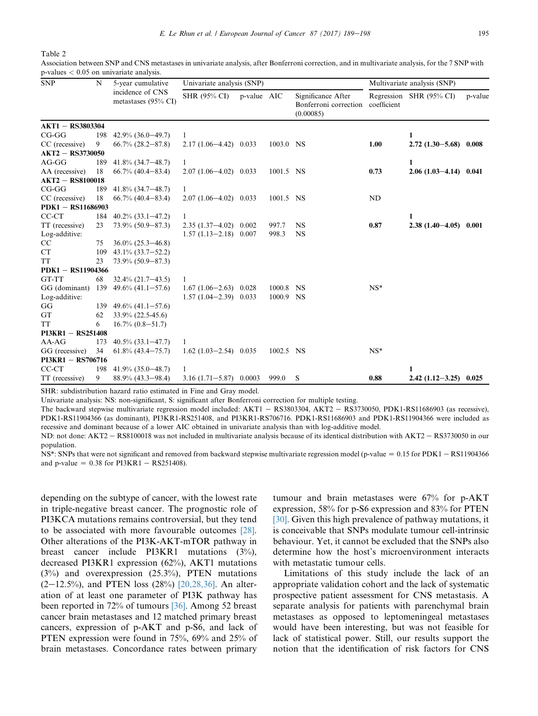<span id="page-6-0"></span>Table 2

Association between SNP and CNS metastases in univariate analysis, after Bonferroni correction, and in multivariate analysis, for the 7 SNP with p-values < 0.05 on univariate analysis.

| <b>SNP</b>              | N   | 5-year cumulative<br>incidence of CNS<br>metastases (95% CI) | Univariate analysis (SNP)  |             |           |                                                          | Multivariate analysis (SNP) |                         |         |
|-------------------------|-----|--------------------------------------------------------------|----------------------------|-------------|-----------|----------------------------------------------------------|-----------------------------|-------------------------|---------|
|                         |     |                                                              | <b>SHR (95% CI)</b>        | p-value AIC |           | Significance After<br>Bonferroni correction<br>(0.00085) | coefficient                 | Regression SHR (95% CI) | p-value |
| <b>AKT1 - RS3803304</b> |     |                                                              |                            |             |           |                                                          |                             |                         |         |
| $CG-GG$                 | 198 | $42.9\%$ $(36.0-49.7)$                                       | 1                          |             |           |                                                          |                             | 1                       |         |
| CC (recessive)          | 9   | $66.7\%$ $(28.2 - 87.8)$                                     | $2.17(1.06-4.42)$ 0.033    |             | 1003.0 NS |                                                          | 1.00                        | $2.72(1.30-5.68)$ 0.008 |         |
| <b>AKT2 - RS3730050</b> |     |                                                              |                            |             |           |                                                          |                             |                         |         |
| $AG-GG$                 | 189 | $41.8\%$ (34.7-48.7)                                         | 1                          |             |           |                                                          |                             | $\mathbf{1}$            |         |
| AA (recessive)          | 18  | $66.7\%$ $(40.4 - 83.4)$                                     | $2.07(1.06-4.02)$ 0.033    |             | 1001.5 NS |                                                          | 0.73                        | $2.06(1.03-4.14)$ 0.041 |         |
| $AKT2 - RS8100018$      |     |                                                              |                            |             |           |                                                          |                             |                         |         |
| $CG-GG$                 | 189 | $41.8\%$ (34.7-48.7)                                         | 1                          |             |           |                                                          |                             |                         |         |
| CC (recessive)          | 18  | $66.7\%$ $(40.4-83.4)$                                       | $2.07(1.06-4.02)$ 0.033    |             | 1001.5 NS |                                                          | ND                          |                         |         |
| $PDK1 - RS11686903$     |     |                                                              |                            |             |           |                                                          |                             |                         |         |
| CC-CT                   |     | $184$ 40.2% (33.1-47.2)                                      | 1                          |             |           |                                                          |                             | 1                       |         |
| TT (recessive)          | 23  | $73.9\%$ $(50.9-87.3)$                                       | $2.35(1.37-4.02)$ 0.002    |             | 997.7     | <b>NS</b>                                                | 0.87                        | $2.38(1.40-4.05)$ 0.001 |         |
| Log-additive:           |     |                                                              | $1.57(1.13-2.18)$ 0.007    |             | 998.3     | <b>NS</b>                                                |                             |                         |         |
| CC                      | 75  | $36.0\%$ $(25.3 - 46.8)$                                     |                            |             |           |                                                          |                             |                         |         |
| <b>CT</b>               | 109 | $43.1\%$ $(33.7-52.2)$                                       |                            |             |           |                                                          |                             |                         |         |
| <b>TT</b>               | 23  | $73.9\%$ $(50.9-87.3)$                                       |                            |             |           |                                                          |                             |                         |         |
| PDK1 - RS11904366       |     |                                                              |                            |             |           |                                                          |                             |                         |         |
| GT-TT                   | 68  | $32.4\% (21.7 - 43.5)$                                       | 1                          |             |           |                                                          |                             |                         |         |
| GG (dominant) 139       |     | $49.6\%$ $(41.1 - 57.6)$                                     | $1.67(1.06-2.63)$ 0.028    |             | 1000.8    | NS                                                       | $NS^*$                      |                         |         |
| Log-additive:           |     |                                                              | $1.57(1.04-2.39)$ 0.033    |             | 1000.9 NS |                                                          |                             |                         |         |
| GG                      | 139 | $49.6\%$ $(41.1-57.6)$                                       |                            |             |           |                                                          |                             |                         |         |
| GT                      | 62  | 33.9% (22.5-45.6)                                            |                            |             |           |                                                          |                             |                         |         |
| <b>TT</b>               | 6   | $16.7\% (0.8 - 51.7)$                                        |                            |             |           |                                                          |                             |                         |         |
| $PI3KR1 - RS251408$     |     |                                                              |                            |             |           |                                                          |                             |                         |         |
| $AA-AG$                 | 173 | $40.5\%$ $(33.1 - 47.7)$                                     | 1                          |             |           |                                                          |                             |                         |         |
| GG (recessive)          | 34  | $61.8\%$ $(43.4 - 75.7)$                                     | $1.62(1.03-2.54)$ 0.035    |             | 1002.5 NS |                                                          | $NS^*$                      |                         |         |
| PI3KR1 - RS706716       |     |                                                              |                            |             |           |                                                          |                             |                         |         |
| CC-CT                   | 198 | $41.9\%$ (35.0–48.7)                                         | 1                          |             |           |                                                          |                             | 1                       |         |
| TT (recessive)          | 9   | $88.9\%$ (43.3–98.4)                                         | $3.16(1.71 - 5.87)$ 0.0003 |             | 999.0     | <sub>S</sub>                                             | 0.88                        | $2.42(1.12-3.25)$ 0.025 |         |

SHR: subdistribution hazard ratio estimated in Fine and Gray model.

Univariate analysis: NS: non-significant, S: significant after Bonferroni correction for multiple testing.

The backward stepwise multivariate regression model included:  $AKT1 - RS3803304$ ,  $AKT2 - RS3730050$ ,  $PDK1-RS11686903$  (as recessive), PDK1-RS11904366 (as dominant), PI3KR1-RS251408, and PI3KR1-RS706716. PDK1-RS11686903 and PDK1-RS11904366 were included as recessive and dominant because of a lower AIC obtained in univariate analysis than with log-additive model.

ND: not done: AKT2 - RS8100018 was not included in multivariate analysis because of its identical distribution with AKT2 - RS3730050 in our population.

NS\*: SNPs that were not significant and removed from backward stepwise multivariate regression model (p-value  $= 0.15$  for PDK1 – RS11904366 and p-value =  $0.38$  for PI3KR1 - RS251408).

depending on the subtype of cancer, with the lowest rate in triple-negative breast cancer. The prognostic role of PI3KCA mutations remains controversial, but they tend to be associated with more favourable outcomes [\[28\].](#page-9-0) Other alterations of the PI3K-AKT-mTOR pathway in breast cancer include PI3KR1 mutations (3%), decreased PI3KR1 expression (62%), AKT1 mutations (3%) and overexpression (25.3%), PTEN mutations  $(2-12.5\%)$ , and PTEN loss  $(28\%)$  [\[20,28,36\]](#page-9-0). An alteration of at least one parameter of PI3K pathway has been reported in 72% of tumours [\[36\]](#page-9-0). Among 52 breast cancer brain metastases and 12 matched primary breast cancers, expression of p-AKT and p-S6, and lack of PTEN expression were found in 75%, 69% and 25% of brain metastases. Concordance rates between primary tumour and brain metastases were 67% for p-AKT expression, 58% for p-S6 expression and 83% for PTEN [\[30\].](#page-9-0) Given this high prevalence of pathway mutations, it is conceivable that SNPs modulate tumour cell-intrinsic behaviour. Yet, it cannot be excluded that the SNPs also determine how the host's microenvironment interacts with metastatic tumour cells.

Limitations of this study include the lack of an appropriate validation cohort and the lack of systematic prospective patient assessment for CNS metastasis. A separate analysis for patients with parenchymal brain metastases as opposed to leptomeningeal metastases would have been interesting, but was not feasible for lack of statistical power. Still, our results support the notion that the identification of risk factors for CNS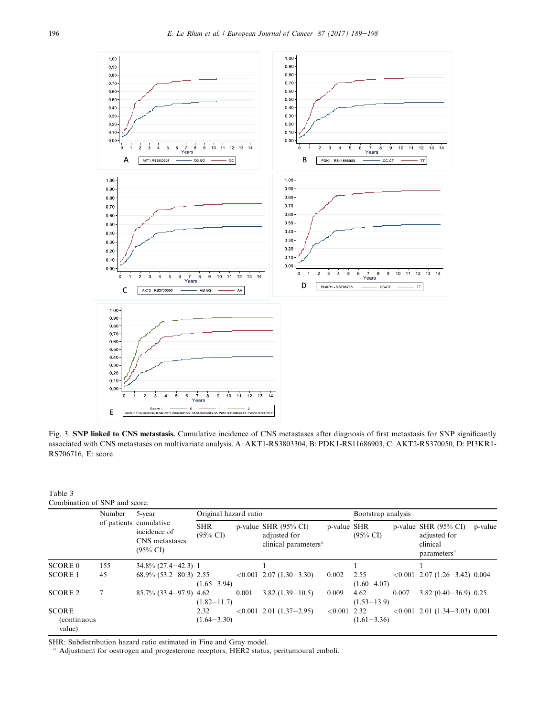<span id="page-7-0"></span>

Fig. 3. SNP linked to CNS metastasis. Cumulative incidence of CNS metastases after diagnosis of first metastasis for SNP significantly associated with CNS metastases on multivariate analysis. A: AKT1-RS3803304, B: PDK1-RS11686903, C: AKT2-RS370050, D: PI3KR1- RS706716, E: score.

# Table 3

| Combination of SNP and score. |
|-------------------------------|
|-------------------------------|

|                                               | Number | 5-year<br>of patients cumulative<br>incidence of<br>CNS metastases<br>$(95\% \text{ CI})$ | Original hazard ratio             |       |                                                                                     |             | Bootstrap analysis      |       |                                                                                        |         |
|-----------------------------------------------|--------|-------------------------------------------------------------------------------------------|-----------------------------------|-------|-------------------------------------------------------------------------------------|-------------|-------------------------|-------|----------------------------------------------------------------------------------------|---------|
|                                               |        |                                                                                           | <b>SHR</b><br>$(95\% \text{ CI})$ |       | p-value SHR $(95\% \text{ CI})$<br>adjusted for<br>clinical parameters <sup>a</sup> | p-value SHR | $(95\% \text{ CI})$     |       | p-value SHR $(95\% \text{ CI})$<br>adjusted for<br>clinical<br>parameters <sup>a</sup> | p-value |
| <b>SCORE 0</b>                                | 155    | $34.8\%$ $(27.4-42.3)$ 1                                                                  |                                   |       |                                                                                     |             |                         |       |                                                                                        |         |
| <b>SCORE 1</b>                                | 45     | $68.9\%$ $(53.2-80.3)$ 2.55                                                               | $(1.65 - 3.94)$                   |       | $\langle 0.001 \; 2.07 \; (1.30 - 3.30) \;$                                         | 0.002       | 2.55<br>$(1.60 - 4.07)$ |       | $\langle 0.001 \; 2.07 \; (1.26 - 3.42) \; 0.004 \; \rangle$                           |         |
| <b>SCORE 2</b>                                |        | $85.7\%$ (33.4-97.9) 4.62                                                                 | $(1.82 - 11.7)$                   | 0.001 | $3.82(1.39 - 10.5)$                                                                 | 0.009       | 4.62<br>$(1.53 - 13.9)$ | 0.007 | $3.82(0.40-36.9)$ 0.25                                                                 |         |
| <b>SCORE</b><br><i>(continuous)</i><br>value) |        |                                                                                           | 2.32<br>$(1.64 - 3.30)$           |       | $\langle 0.001 \; 2.01 \; (1.37 - 2.95) \;$                                         | ${<}0.001$  | 2.32<br>$(1.61 - 3.36)$ |       | $\leq 0.001$ 2.01 (1.34-3.03) 0.001                                                    |         |

SHR: Subdistribution hazard ratio estimated in Fine and Gray model.

<sup>a</sup> Adjustment for oestrogen and progesterone receptors, HER2 status, peritumoural emboli.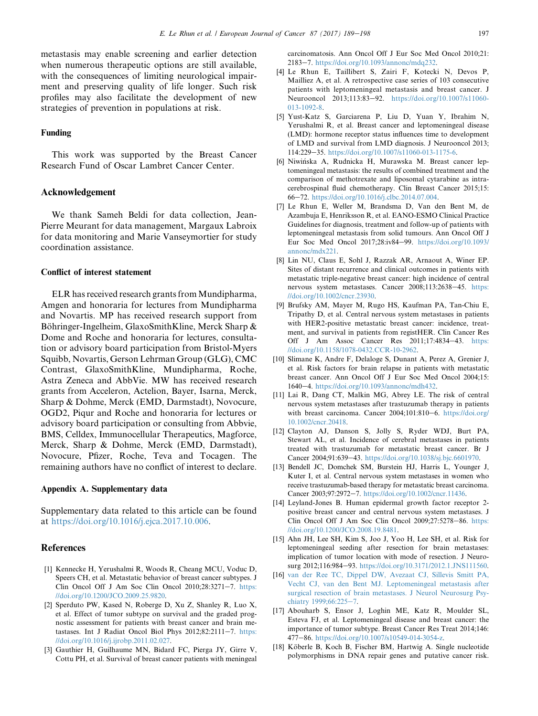<span id="page-8-0"></span>metastasis may enable screening and earlier detection when numerous therapeutic options are still available, with the consequences of limiting neurological impairment and preserving quality of life longer. Such risk profiles may also facilitate the development of new strategies of prevention in populations at risk.

#### Funding

This work was supported by the Breast Cancer Research Fund of Oscar Lambret Cancer Center.

# Acknowledgement

We thank Sameh Beldi for data collection, Jean-Pierre Meurant for data management, Margaux Labroix for data monitoring and Marie Vanseymortier for study coordination assistance.

#### Conflict of interest statement

ELR has received research grants from Mundipharma, Amgen and honoraria for lectures from Mundipharma and Novartis. MP has received research support from Böhringer-Ingelheim, GlaxoSmithKline, Merck Sharp  $\&$ Dome and Roche and honoraria for lectures, consultation or advisory board participation from Bristol-Myers Squibb, Novartis, Gerson Lehrman Group (GLG), CMC Contrast, GlaxoSmithKline, Mundipharma, Roche, Astra Zeneca and AbbVie. MW has received research grants from Acceleron, Actelion, Bayer, Isarna, Merck, Sharp & Dohme, Merck (EMD, Darmstadt), Novocure, OGD2, Piqur and Roche and honoraria for lectures or advisory board participation or consulting from Abbvie, BMS, Celldex, Immunocellular Therapeutics, Magforce, Merck, Sharp & Dohme, Merck (EMD, Darmstadt), Novocure, Pfizer, Roche, Teva and Tocagen. The remaining authors have no conflict of interest to declare.

#### Appendix A. Supplementary data

Supplementary data related to this article can be found at [https://doi.org/10.1016/j.ejca.2017.10.006.](https://doi.org/10.1016/j.ejca.2017.10.006)

#### References

- [1] Kennecke H, Yerushalmi R, Woods R, Cheang MCU, Voduc D, Speers CH, et al. Metastatic behavior of breast cancer subtypes. J Clin Oncol Off J Am Soc Clin Oncol  $2010;28:3271-7$ . [https:](https://doi.org/10.1200/JCO.2009.25.9820) [//doi.org/10.1200/JCO.2009.25.9820.](https://doi.org/10.1200/JCO.2009.25.9820)
- [2] Sperduto PW, Kased N, Roberge D, Xu Z, Shanley R, Luo X, et al. Effect of tumor subtype on survival and the graded prognostic assessment for patients with breast cancer and brain metastases. Int J Radiat Oncol Biol Phys  $2012;82:2111-7$ . [https:](https://doi.org/10.1016/j.ijrobp.2011.02.027) [//doi.org/10.1016/j.ijrobp.2011.02.027](https://doi.org/10.1016/j.ijrobp.2011.02.027).
- [3] Gauthier H, Guilhaume MN, Bidard FC, Pierga JY, Girre V, Cottu PH, et al. Survival of breast cancer patients with meningeal

carcinomatosis. Ann Oncol Off J Eur Soc Med Oncol 2010;21: 2183e7. <https://doi.org/10.1093/annonc/mdq232>.

- [4] Le Rhun E, Taillibert S, Zairi F, Kotecki N, Devos P, Mailliez A, et al. A retrospective case series of 103 consecutive patients with leptomeningeal metastasis and breast cancer. J Neurooncol 2013;113:83-92. [https://doi.org/10.1007/s11060-](https://doi.org/10.1007/s11060-013-1092-8) [013-1092-8.](https://doi.org/10.1007/s11060-013-1092-8)
- [5] Yust-Katz S, Garciarena P, Liu D, Yuan Y, Ibrahim N, Yerushalmi R, et al. Breast cancer and leptomeningeal disease (LMD): hormone receptor status influences time to development of LMD and survival from LMD diagnosis. J Neurooncol 2013; 114:229-35. [https://doi.org/10.1007/s11060-013-1175-6.](https://doi.org/10.1007/s11060-013-1175-6)
- [6] Niwinska A, Rudnicka H, Murawska M. Breast cancer lep tomeningeal metastasis: the results of combined treatment and the comparison of methotrexate and liposomal cytarabine as intracerebrospinal fluid chemotherapy. Clin Breast Cancer 2015;15: 66e72. <https://doi.org/10.1016/j.clbc.2014.07.004>.
- [7] Le Rhun E, Weller M, Brandsma D, Van den Bent M, de Azambuja E, Henriksson R, et al. EANO-ESMO Clinical Practice Guidelines for diagnosis, treatment and follow-up of patients with leptomeningeal metastasis from solid tumours. Ann Oncol Off J Eur Soc Med Oncol 2017;28:iv84-99. [https://doi.org/10.1093/](https://doi.org/10.1093/annonc/mdx221) [annonc/mdx221.](https://doi.org/10.1093/annonc/mdx221)
- [8] Lin NU, Claus E, Sohl J, Razzak AR, Arnaout A, Winer EP. Sites of distant recurrence and clinical outcomes in patients with metastatic triple-negative breast cancer: high incidence of central nervous system metastases. Cancer 2008;113:2638-45. [https:](https://doi.org/10.1002/cncr.23930) [//doi.org/10.1002/cncr.23930](https://doi.org/10.1002/cncr.23930).
- [9] Brufsky AM, Mayer M, Rugo HS, Kaufman PA, Tan-Chiu E, Tripathy D, et al. Central nervous system metastases in patients with HER2-positive metastatic breast cancer: incidence, treatment, and survival in patients from registHER. Clin Cancer Res Off J Am Assoc Cancer Res  $2011;17:4834-43$ . [https:](https://doi.org/10.1158/1078-0432.CCR-10-2962) [//doi.org/10.1158/1078-0432.CCR-10-2962](https://doi.org/10.1158/1078-0432.CCR-10-2962).
- [10] Slimane K, Andre F, Delaloge S, Dunant A, Perez A, Grenier J, et al. Risk factors for brain relapse in patients with metastatic breast cancer. Ann Oncol Off J Eur Soc Med Oncol 2004;15: 1640e4. <https://doi.org/10.1093/annonc/mdh432>.
- [11] Lai R, Dang CT, Malkin MG, Abrey LE. The risk of central nervous system metastases after trastuzumab therapy in patients with breast carcinoma. Cancer 2004;101:810-6. [https://doi.org/](https://doi.org/10.1002/cncr.20418) [10.1002/cncr.20418](https://doi.org/10.1002/cncr.20418).
- [12] Clayton AJ, Danson S, Jolly S, Ryder WDJ, Burt PA, Stewart AL, et al. Incidence of cerebral metastases in patients treated with trastuzumab for metastatic breast cancer. Br J Cancer 2004;91:639-43. <https://doi.org/10.1038/sj.bjc.6601970>.
- [13] Bendell JC, Domchek SM, Burstein HJ, Harris L, Younger J, Kuter I, et al. Central nervous system metastases in women who receive trastuzumab-based therapy for metastatic breast carcinoma. Cancer 2003;97:2972-7. [https://doi.org/10.1002/cncr.11436.](https://doi.org/10.1002/cncr.11436)
- [14] Leyland-Jones B. Human epidermal growth factor receptor 2 positive breast cancer and central nervous system metastases. J Clin Oncol Off J Am Soc Clin Oncol  $2009:27:5278-86$ . [https:](https://doi.org/10.1200/JCO.2008.19.8481) [//doi.org/10.1200/JCO.2008.19.8481.](https://doi.org/10.1200/JCO.2008.19.8481)
- [15] Ahn JH, Lee SH, Kim S, Joo J, Yoo H, Lee SH, et al. Risk for leptomeningeal seeding after resection for brain metastases: implication of tumor location with mode of resection. J Neurosurg 2012;116:984-93. <https://doi.org/10.3171/2012.1.JNS111560>.
- [16] [van der Ree TC, Dippel DW, Avezaat CJ, Sillevis Smitt PA,](http://refhub.elsevier.com/S0959-8049(17)31346-1/sref16) [Vecht CJ, van den Bent MJ. Leptomeningeal metastasis after](http://refhub.elsevier.com/S0959-8049(17)31346-1/sref16) [surgical resection of brain metastases. J Neurol Neurosurg Psy](http://refhub.elsevier.com/S0959-8049(17)31346-1/sref16)[chiatry 1999;66:225](http://refhub.elsevier.com/S0959-8049(17)31346-1/sref16)-[7.](http://refhub.elsevier.com/S0959-8049(17)31346-1/sref16)
- [17] Abouharb S, Ensor J, Loghin ME, Katz R, Moulder SL, Esteva FJ, et al. Leptomeningeal disease and breast cancer: the importance of tumor subtype. Breast Cancer Res Treat 2014;146: 477e86. <https://doi.org/10.1007/s10549-014-3054-z>.
- [18] Köberle B, Koch B, Fischer BM, Hartwig A. Single nucleotide polymorphisms in DNA repair genes and putative cancer risk.